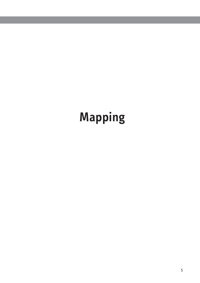# **Mapping**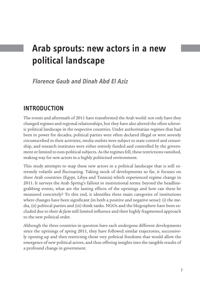## **Arab sprouts: new actors in a new political landscape**

**Florence Gaub and Dinah Abd El Aziz**

## **Introduction**

The events and aftermath of 2011 have transformed the Arab world: not only have they changed regimes and regional relationships, but they have also altered the often sclerotic political landscape in the respective countries. Under authoritarian regimes that had been in power for decades, political parties were often declared illegal or were severely circumscribed in their activities, media outlets were subject to state control and censorship, and research institutes were either entirely funded and controlled by the government or limited to non-political subjects. As the regimes fell, these restrictions vanished, making way for new actors in a highly politicised environment.

This study attempts to map these new actors in a political landscape that is still extremely volatile and fluctuating. Taking stock of developments so far, it focuses on three Arab countries (Egypt, Libya and Tunisia) which experienced regime change in 2011. It surveys the Arab Spring's fallout in institutional terms: beyond the headlinegrabbing events, what are the lasting effects of the uprisings and how can these be measured concretely? To this end, it identifies three main categories of institutions where changes have been significant (in both a positive and negative sense): (i) the media, (ii) political parties and (iii) think tanks. NGOs and the blogosphere have been excluded due to their *de facto* still limited influence and their highly fragmented approach to the new political order.

Although the three countries in question have each undergone different developments since the uprisings of spring 2011, they have followed similar trajectories, successively opening up and then restricting those very political freedoms that would allow the emergence of new political actors, and thus offering insights into the tangible results of a profound change in government.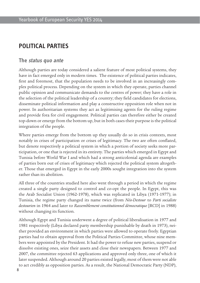## **Political parties**

#### **The status quo ante**

Although parties are today considered a salient feature of most political systems, they have in fact emerged only in modern times. The existence of political parties indicates, first and foremost, that the population needs to be involved in an increasingly complex political process. Depending on the system in which they operate, parties channel public opinion and communicate demands to the centres of power; they have a role in the selection of the political leadership of a country; they field candidates for elections, disseminate political information and play a constructive opposition role when not in power. In authoritarian systems they act as legitimising agents for the ruling regime and provide fora for civil engagement. Political parties can therefore either be created top-down or emerge from the bottom up, but in both cases their purpose is the political integration of the people.

Where parties emerge from the bottom up they usually do so in crisis contexts, most notably in crises of participation or crises of legitimacy. The two are often conflated, but denote respectively a political system in which a portion of society seeks more participation, or one that is rejected in its entirety. The parties which emerged in Egypt and Tunisia before World War I and which had a strong anticolonial agenda are examples of parties born out of crises of legitimacy which rejected the political system altogether. Those that emerged in Egypt in the early 2000s sought integration into the system rather than its abolition.

All three of the countries studied here also went through a period in which the regime created a single party designed to control and co-opt the people. In Egypt, this was the Arab Socialist Union (1962-1978), which was replicated in Libya (1971-1977); in Tunisia, the regime party changed its name twice (from *Néo-Destour* to *Parti socialiste destourien* in 1964 and later to *Rassemblement constitutionnel démocratique* [RCD] in 1988) without changing its function.

Although Egypt and Tunisia underwent a degree of political liberalisation in 1977 and 1981 respectively (Libya declared party membership punishable by death in 1973), neither provided an environment in which parties were allowed to operate freely. Egyptian parties had to obtain approval from the Political Parties Committee, whose nine members were appointed by the President. It had the power to refuse new parties, suspend or dissolve existing ones, seize their assets and close their newspapers. Between 1977 and 2007, the committee rejected 63 applications and approved only three, one of which it later suspended. Although around 20 parties existed legally, most of them were not able to act credibly as opposition parties. As a result, the National Democratic Party (NDP),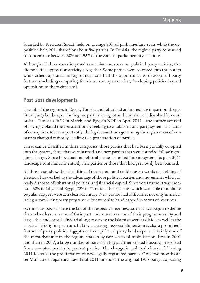founded by President Sadat, held on average 80% of parliamentary seats while the opposition held 20%, shared by about five parties. In Tunisia, the regime party continued to concentrate between 80% and 95% of the votes in parliamentary elections.

Although all three cases imposed restrictive measures on political party activity, this did not stifle opposition activity altogether. Some parties were co-opted into the system while others operated underground; none had the opportunity to develop full party features (including competing for ideas in an open market, developing policies beyond opposition to the regime etc.).

### **Post-2011 developments**

The fall of the regimes in Egypt, Tunisia and Libya had an immediate impact on the political party landscape. The 'regime parties' in Egypt and Tunisia were dissolved by court order – Tunisia's RCD in March, and Egypt's NDP in April 2011 – the former accused of having violated the constitution by seeking to establish a one-party system, the latter of corruption. More importantly, the legal conditions governing the registration of new parties changed radically, leading to a proliferation of parties.

These can be classified in three categories: those parties that had been partially co-opted into the system, those that were banned, and new parties that were founded following regime change. Since Libya had no political parties co-opted into its system, its post-2011 landscape contains only entirely new parties or those that had previously been banned.

All three cases show that the lifting of restrictions and rapid move towards the holding of elections has worked to the advantage of those political parties and movements which already disposed of substantial political and financial capital. Since voter turnout was modest – 62% in Libya and Egypt, 52% in Tunisia – those parties which were able to mobilise popular support were at a clear advantage. New parties had difficulties not only in articulating a convincing party programme but were also handicapped in terms of resources.

As time has passed since the fall of the respective regimes, parties have begun to define themselves less in terms of their past and more in terms of their programmes. By and large, the landscape is divided along two axes: the Islamist/secular divide as well as the classical left/right spectrum. In Libya, a strong regional dimension is also a prominent feature of party politics. **Egypt**'s current political party landscape is certainly one of the most dynamic in the region; shaken by two waves of mobilisation, first in 2001 and then in 2007, a large number of parties in Egypt either existed illegally, or evolved from co-opted parties to protest parties. The change in political climate following 2011 fostered the proliferation of new legally registered parties. Only two months after Mubarak's departure, Law 12 of 2011 amended the original 1977 party law, easing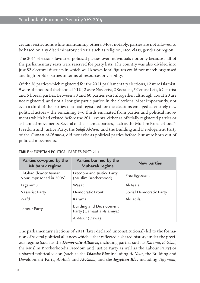certain restrictions while maintaining others. Most notably, parties are not allowed to be based on any discriminatory criteria such as religion, race, class, gender or region.

The 2011 elections favoured political parties over individuals not only because half of the parliamentary seats were reserved for party lists. The country was also divided into just 82 electoral districts in which well-known local figures could not match organised and high-profile parties in terms of resources or visibility.

Of the 36 parties which registered for the 2011 parliamentary elections, 12 were Islamist, 9 were offshoots of the banned NDP, 2 were Nasserist, 2 Socialist, 5 Centre-Left, 6 Centrist and 5 liberal parties. Between 50 and 60 parties exist altogether, although about 20 are not registered, and not all sought participation in the elections. Most importantly, not even a third of the parties that had registered for the elections emerged as entirely new political actors – the remaining two thirds emanated from parties and political movements which had existed before the 2011 events, either as officially registered parties or as banned movements. Several of the Islamist parties, such as the Muslim Brotherhood's Freedom and Justice Party, the *Salafi Al-Nour* and the Building and Development Party of the *Gamaat Al-Islamiya*, did not exist as political parties before, but were born out of political movements.

| Parties co-opted by the<br>Mubarak regime         | Parties banned by the<br>Mubarak regime                | New parties             |  |
|---------------------------------------------------|--------------------------------------------------------|-------------------------|--|
| El-Ghad (leader Ayman<br>Nour imprisoned in 2005) | Freedom and Justice Party<br>(Muslim Brotherhood)      | Free Egyptians          |  |
| Tagammu                                           | Wasat                                                  | Al-Asala                |  |
| Nasserist Party                                   | Democratic Front                                       | Social Democratic Party |  |
| Wafd                                              | Karama                                                 | Al-Fadila               |  |
| Labour Party                                      | Building and Development<br>Party (Gamaat al-Islamiya) |                         |  |
|                                                   | Al-Nour (Dawa)                                         |                         |  |

#### **Table 1:** Egyptian political parties post-2011

The parliamentary elections of 2011 (later declared unconstitutional) led to the formation of several political alliances which either reflected a shared history under the previous regime (such as the *Democratic Alliance*, including parties such as *Karama*, *El-Ghad*, the Muslim Brotherhood's Freedom and Justice Party as well as the Labour Party) or a shared political vision (such as the *Islamist Bloc* including *Al-Nour*, the Building and Development Party, *Al-Asala* and *Al-Fadila*, and the *Egyptian Bloc* including *Tagammu*,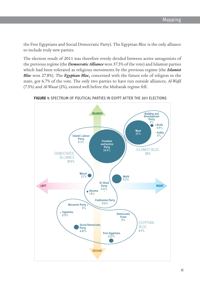the Free Egyptians and Social Democratic Party). The Egyptian Bloc is the only alliance to include truly new parties.

The election result of 2011 was therefore evenly divided between active antagonists of the previous regime (the *Democratic Alliance* won 37.5% of the vote) and Islamist parties which had been tolerated as religious movements by the previous regime (the *Islamist Bloc* won 27.8%). The *Egyptian Bloc***,** concerned with the future role of religion in the state, got 6.7% of the vote. The only two parties to have run outside alliances, *Al-Wafd* (7.5%) and *Al-Wasat* (2%), existed well before the Mubarak regime fell.



FIGURE 1: SPECTRUM OF POLITICAL PARTIES IN EGYPT AFTER THE 2011 ELECTIONS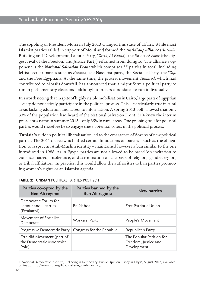The toppling of President Morsi in July 2013 changed this state of affairs. While most Islamist parties rallied in support of Morsi and formed the *Anti-Coup alliance* (*Al-Asala*, Building and Development, Labour Party, *Wasat*, *Al-Fadila*), the Salafi *Al-Nour* (the biggest rival of the Freedom and Justice Party) refrained from doing so. The alliance's opponent is the *National Salvation Front* which comprises 35 parties in total, including leftist-secular parties such as *Karama*, the Nasserist party, the Socialist Party, the *Wafd*  and the Free Egyptians. At the same time, the protest movement *Tamarod*, which had contributed to Morsi's downfall, has announced that it might form a political party to run in parliamentary elections – although it prefers candidates to run individually.

It is worth noting that in spite of highly visible mobilisation in Cairo, large parts of Egyptian society do not actively participate in the political process. This is particularly true in rural areas lacking education and access to information. A spring 2013 poll<sup>1</sup> showed that only 33% of the population had heard of the National Salvation Front; 51% knew the interim president's name in summer 2013 – only 35% in rural areas. One pressing task for political parties would therefore be to engage these potential voters in the political process.

**Tunisia's** sudden political liberalisation led to the emergence of dozens of new political parties. The 2011 decree which lifted certain limitations on parties – such as the obligation to respect an Arab-Muslim identity – maintained however a ban similar to the one introduced in 1988. As in Egypt, parties are not allowed to be based 'on incitation to violence, hatred, intolerance, or discrimination on the basis of religion, gender, region, or tribal affiliation'. In practice, this would allow the authorities to ban parties promoting women's rights or an Islamist agenda.

| Parties co-opted by the<br>Ben Ali regime                       | Parties banned by the<br>Ben Ali regime | New parties                                                     |
|-----------------------------------------------------------------|-----------------------------------------|-----------------------------------------------------------------|
| Democratic Forum for<br>Labour and Liberties<br>(Ettakatol)     | Fn-Nahda                                | Free Patriotic Union                                            |
| Movement of Socialist<br>Democrats                              | Workers' Party                          | People's Movement                                               |
| Progressive Democratic Party                                    | Congress for the Republic               | Republican Party                                                |
| Ettajdid Movement (part of<br>the Democratic Modernist<br>Pole) |                                         | The Popular Petition for<br>Freedom, Justice and<br>Development |

#### **Table 2:** Tunisian political parties post-2011

<sup>1.</sup>National Democratic Institute, 'Believing in Democracy: Public Opinion Survey in Libya', August 2013, available online at: <http://www.ndi.org/libya-believing-in-democracy>.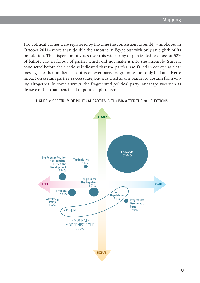116 political parties were registered by the time the constituent assembly was elected in October 2011– more than double the amount in Egypt but with only an eighth of its population. The dispersion of votes over this wide array of parties led to a loss of 32% of ballots cast in favour of parties which did not make it into the assembly. Surveys conducted before the elections indicated that the parties had failed in conveying clear messages to their audience; confusion over party programmes not only had an adverse impact on certain parties' success rate, but was cited as one reason to abstain from voting altogether. In some surveys, the fragmented political party landscape was seen as  $\overline{\mathcal{C}}$  divisive rather than beneficial to political pluralism.



**Figure 2:** Spectrum of political parties in Tunisia after the 2011 Elections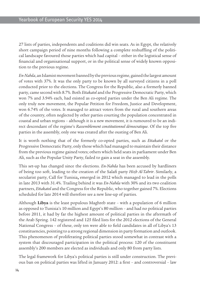27 lists of parties, independents and coalitions did win seats. As in Egypt, the relatively short campaign period of nine months following a complete reshuffling of the political landscape favoured those parties which had capital – either in the logistical sense of financial and organisational support, or in the political sense of widely known opposition to the previous regime.

*En-Nahda*, an Islamist movement banned by the previous regime, gained the largest amount of votes with 37%. It was the only party to be known by all surveyed citizens in a poll conducted prior to the elections. The Congress for the Republic, also a formerly banned party, came second with 8.7%. Both *Ettakatol* and the Progressive Democratic Party, which won 7% and 3.94% each, had existed as co-opted parties under the Ben Ali regime. The only truly new movement, the Popular Petition for Freedom, Justice and Development, won 6.74% of the votes. It managed to attract voters from the rural and southern areas of the country, often neglected by other parties courting the population concentrated in coastal and urban regions – although it is a new movement, it is rumoured to be an indirect descendant of the regime's *Rassemblement constitutionnel démocratique*. Of the top five parties in the assembly, only one was created after the ousting of Ben Ali.

It is worth nothing that of the formerly co-opted parties, such as *Ettakatol* or the Progressive Democratic Party, only those which had managed to maintain their distance from the previous regime gained votes; others which held seats in parliament under Ben Ali, such as the Popular Unity Party, failed to gain a seat in the assembly.

This set-up has changed since the elections. *En-Nahda* has been accused by hardliners of being too soft, leading to the creation of the Salafi party *Hizb Al-Tahrir*. Similarly, a secularist party, Call for Tunisia**,** emerged in 2012 which managed to lead in the polls in late 2013 with 31.4%. Trailing behind it was *En-Nahda* with 30% and its two coalition partners, *Ettakatol* and the Congress for the Republic, who together gained 7%. Elections scheduled for late 2014 will therefore see a new line-up of parties.

Although **Libya** is the least populous Maghreb state – with a population of 6 million as opposed to Tunisia's 10 million and Egypt's 80 million – and had no political parties before 2011, it had by far the highest amount of political parties in the aftermath of the Arab Spring. 142 registered and 125 filed lists for the 2012 elections of the General National Congress – of these, only ten were able to field candidates in all of Libya's 13 constituencies, pointing to a strong regional dimension in party formation and outlook. This phenomenon of proliferating political parties stood somewhat in contrast with a system that discouraged participation in the political process: 120 of the constituent assembly's 200 members are elected as individuals and only 80 from party lists.

The legal framework for Libya's political parties is still under construction. The previous ban on political parties was lifted in January 2012: a first – and controversial – law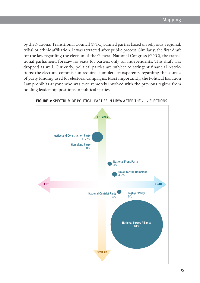by the National Transitional Council (NTC) banned parties based on religious, regional, tribal or ethnic affiliation. It was retracted after public protest. Similarly, the first draft for the law regarding the election of the General National Congress (GNC), the transitional parliament, foresaw no seats for parties, only for independents. This draft was dropped as well. Currently, political parties are subject to stringent financial restrictions: the electoral commission requires complete transparency regarding the sources of party funding used for electoral campaigns. Most importantly, the Political Isolation Law prohibits anyone who was even remotely involved with the previous regime from holding leadership positions in political parties.



**Figure 3:** Spectrum of political parties in Libya after the 2012 elections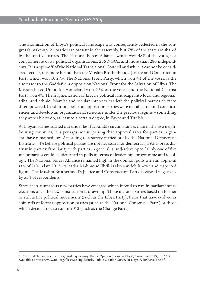The atomisation of Libya's political landscape was consequently reflected in the congress's make-up. 21 parties are present in the assembly, but 78% of the seats are shared by the top five parties. The National Forces Alliance, which won 48% of the votes, is a conglomerate of 58 political organisations, 236 NGOs, and more than 280 independents. It is a spin-off of the National Transitional Council and while it cannot be considered secular, it is more liberal than the Muslim Brotherhood's Justice and Construction Party which won 10.27%. The National Front Party, which won 4% of the votes, is the successor to the Gaddafi-era opposition National Front for the Salvation of Libya. The Misrata-based Union for Homeland won 4.5% of the votes, and the National Centrist Party won 4%. The fragmentation of Libya's political landscape into local and regional, tribal and ethnic, Islamist and secular interests has left the political parties de facto disempowered. In addition, political opposition parties were not able to build constituencies and develop an organisational structure under the previous regime – something they were able to do, at least to a certain degree, in Egypt and Tunisia.

As Libyan parties started out under less favourable circumstances than in the two neighbouring countries, it is perhaps not surprising that approval rates for parties in general have remained low. According to a survey carried out by the National Democratic Institute, 44% believe political parties are not necessary for democracy; 59% express distrust in parties; familiarity with parties in general is underdeveloped.<sup>2</sup> Only one of five major parties could be identified in polls in terms of leadership, programme and ideology. The National Forces Alliance remained high in the opinion polls with an approval rate of 71% in late 2013; its leader, Mahmoud Jibril, is also a widely known and respected figure. The Muslim Brotherhood's Justice and Construction Party is viewed negatively by 55% of respondents.

Since then, numerous new parties have emerged which intend to run in parliamentary elections once the new constitution is drawn up. These include parties based on former or still active political movements (such as the Libya Party), those that have evolved as spin-offs of former opposition parties (such as the National Consensus Party) or those which decided not to run in 2012 (such as the Change Party).

<sup>2.</sup> National Democratic Institute, 'Seeking Security: Public Opinion Survey in Libya', November 2013, pp. 15-21. Available at [https://www.ndi.org/files/Seeking-Security-Public-Opinion-Survey-in-Libya-WEBQUALITY.pdf.](https://www.ndi.org/files/Seeking-Security-Public-Opinion-Survey-in-Libya-WEBQUALITY.pdf)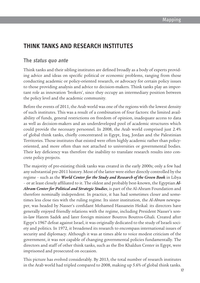## **Think tanks and research institutes**

#### **The status quo ante**

Think tanks and their sibling institutes are defined broadly as a body of experts providing advice and ideas on specific political or economic problems, ranging from those conducting academic or policy-oriented research, or advocacy for certain policy issues to those providing analysis and advice to decision-makers. Think tanks play an important role as innovation 'brokers', since they occupy an intermediary position between the policy level and the academic community.

Before the events of 2011, the Arab world was one of the regions with the lowest density of such institutes. This was a result of a combination of four factors: the limited availability of funds, general restrictions on freedom of opinion, inadequate access to data as well as decision-makers and an underdeveloped pool of academic structures which could provide the necessary personnel. In 2008, the Arab world comprised just 2.4% of global think tanks, chiefly concentrated in Egypt, Iraq, Jordan and the Palestinian Territories. Those institutes that existed were often highly academic rather than policyoriented, and more often than not attached to universities or governmental bodies. Their key deficiency was therefore the inability to translate research results into concrete policy projects.

The majority of pre-existing think tanks was created in the early 2000s; only a few had any substantial pre-2011 history. Most of the latter were either directly controlled by the regime – such as the *World Center for the Study and Research of the Green Book* in Libya – or at least closely affiliated to it. The oldest and probably best-known, the Egyptian *Al-Ahram Center for Political and Strategic Studies*, is part of the Al-Ahram Foundation and therefore nominally independent. In practice, it has had sometimes closer and sometimes less close ties with the ruling regime. Its sister institution, the *Al-Ahram* newspaper, was headed by Nasser's confidant Mohamed Hassanein Heikal: its directors have generally enjoyed friendly relations with the regime, including President Nasser's sonin-law Hatem Sadek and later foreign minister Boutros Boutros-Ghali. Created after Egypt's 1967 defeat against Israel, it was originally dedicated to the study of Israeli society and politics. In 1972, it broadened its research to encompass international issues of security and diplomacy. Although it was at times able to voice modest criticism of the government, it was not capable of changing governmental policies fundamentally. The directors and staff of other think tanks, such as the Ibn Khaldun Center in Egypt, were imprisoned and prosecuted on occasion.

This picture has evolved considerably. By 2013, the total number of research institutes in the Arab world had tripled compared to 2008, making up 5.6% of global think tanks.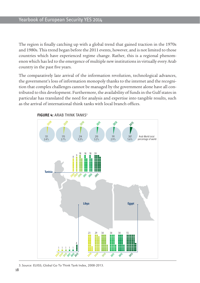The region is finally catching up with a global trend that gained traction in the 1970s and 1980s. This trend began before the 2011 events, however, and is not limited to those countries which have experienced regime change. Rather, this is a regional phenomenon which has led to the emergence of multiple new institutions in virtually every Arab country in the past five years.

The comparatively late arrival of the information revolution, technological advances, the government's loss of information monopoly thanks to the internet and the recognition that complex challenges cannot be managed by the government alone have all contributed to this development. Furthermore, the availability of funds in the Gulf states in particular has translated the need for analysis and expertise into tangible results, such as the arrival of international think tanks with local branch offices.



**FIGURE 4: ARAB THINK TANKS<sup>3</sup>** 

*Source: Go To ink Tank Directory. 2008 - 2013* 3. Source: EUISS; Global Go To Think Tank Index, 2008-2013.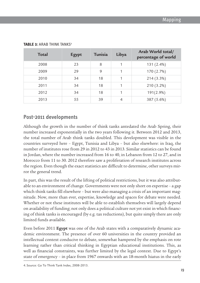| <b>Total</b> | Egypt | Tunisia | Libya          | Arab World total/<br>percentage of world |
|--------------|-------|---------|----------------|------------------------------------------|
| 2008         | 23    | 8       |                | 131 (2.4%)                               |
| 2009         | 29    | 9       |                | 170 (2.7%)                               |
| 2010         | 34    | 18      |                | 214 (3.3%)                               |
| 2011         | 34    | 18      |                | 210 (3.2%)                               |
| 2012         | 34    | 18      |                | 191(2.9%)                                |
| 2013         | 55    | 39      | $\overline{4}$ | 387 (5.6%)                               |

#### **TABLE 3: ARAB THINK TANKS4**

#### **Post-2011 developments**

Although the growth in the number of think tanks antedated the Arab Spring, their number increased exponentially in the two years following it. Between 2012 and 2013, the total number of Arab think tanks doubled. This development was visible in the countries surveyed here – Egypt, Tunisia and Libya – but also elsewhere: in Iraq, the number of institutes rose from 29 in 2012 to 43 in 2013. Similar statistics can be found in Jordan, where the number increased from 16 to 40, in Lebanon from 12 to 27, and in Morocco from 11 to 30. 2012 therefore saw a proliferation of research institutes across the region. Even though the exact statistics are difficult to determine, other surveys mirror the general trend.

In part, this was the result of the lifting of political restrictions, but it was also attributable to an environment of change. Governments were not only short on expertise – a gap which think tanks fill elsewhere – but were also managing a crisis of an important magnitude. Now, more than ever, expertise, knowledge and spaces for debate were needed. Whether or not these institutes will be able to establish themselves will largely depend on availability of funding; not only does a political culture not yet exist in which financing of think tanks is encouraged (by e.g. tax reductions), but quite simply there are only limited funds available.

Even before 2011 **Egypt** was one of the Arab states with a comparatively dynamic academic environment. The presence of over 60 universities in the country provided an intellectual context conducive to debate, somewhat hampered by the emphasis on rote learning rather than critical thinking in Egyptian educational institutions. This, as well as financial constraints, was further limited by the legal context. Due to Egypt's state of emergency – in place from 1967 onwards with an 18-month hiatus in the early

4. Source: Go To Think Tank Index, 2008-2013.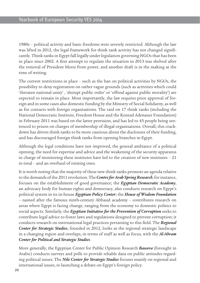1980s – political activity and basic freedoms were severely restricted. Although the law was lifted in 2012, the legal framework for think tank activity has not changed significantly. Think tanks in Egypt fall legally under legislation governing NGOs that has been in place since 2002. A first attempt to regulate the situation in 2013 was shelved after the removal of President Morsi from power, and another draft is in the making at the time of writing.

The current restrictions in place – such as the ban on political activities by NGOs, the possibility to deny registration on rather vague grounds (such as activities which could 'threaten national unity' , 'disrupt public order' or 'offend against public morality') are expected to remain in place. Most importantly, the law requires prior approval of foreign and in some cases also domestic funding by the Ministry of Social Solidarity, as well as for contacts with foreign organisations. The raid on 17 think tanks (including the National Democratic Institute, Freedom House and the Konrad Adenauer Foundation) in February 2011 was based on the latter provision, and has led to 43 people being sentenced to prison on charges of membership of illegal organisations. Overall, this crackdown has driven think tanks to be more cautious about the disclosure of their funding, and has discouraged foreign think tanks from opening branches in Egypt.

Although the legal conditions have not improved, the general ambiance of a political opening, the need for expertise and advice and the weakening of the security apparatus in charge of monitoring these institutes have led to the creation of new institutes – 21 in total – and an overhaul of existing ones.

It is worth noting that the majority of these new think tanks promote an agenda relative to the demands of the 2011 revolution. The *Centre for Arab Spring Research*, for instance, focuses on the establishment of good governance; the *Egyptian Democratic Academy*, an advocacy body for human rights and democracy, also conducts research on Egypt's political system in its in-house *Egyptian Policy Center*; the *House of Wisdom Foundation* – named after the famous ninth-century Abbasid academy – contributes research on areas where Egypt is facing change, ranging from the economy to domestic politics to social aspects. Similarly, the *Egyptian Initiative for the Prevention of Corruption* seeks to contribute legal advice to foster laws and regulations designed to prevent corruption; it conducts research on international legal practices pertaining to this field. The *Regional Center for Strategic Studies*, founded in 2012, looks at the regional strategic landscape in a changing region and overlaps, in terms of staff as well as focus, with the *Al-Ahram Center for Political and Strategic Studies.*

More generally, the Egyptian Center for Public Opinion Research *Baseera* (foresight in Arabic) conducts surveys and polls to provide reliable data on public attitudes regarding political issues. The *Nile Center for Strategic Studies* focuses mainly on regional and international issues, re-launching a debate on Egypt's foreign policy.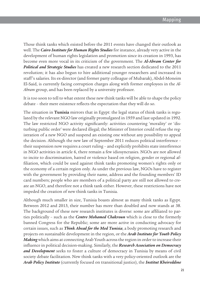Those think tanks which existed before the 2011 events have changed their outlook as well. The *Cairo Institute for Human Rights Studies* for instance, already very active in the development of human rights legislation and promotion since its creation in 1993, has become even more vocal in its criticism of the government. The *Al-Ahram Center for Political and Strategic Studies* has created a new research section dedicated to the 2011 revolution; it has also begun to hire additional younger researchers and increased its staff's salaries. Its ex-director (and former party colleague of Mubarak), Abdel-Moneim El-Said, is currently facing corruption charges along with former employees in the *Al-Ahram* group, and has been replaced by a university professor.

It is too soon to tell to what extent these new think tanks will be able to shape the policy debate – their mere existence reflects the expectation that they will do so.

The situation in **Tunisia** mirrors that in Egypt: the legal status of think tanks is regulated by the relevant NGO law originally promulgated in 1959 and last updated in 1992. The law restricted NGO activity significantly: activities countering 'morality' or 'disturbing public order' were declared illegal; the Minister of Interior could refuse the registration of a new NGO and suspend an existing one without any possibility to appeal the decision. Although the new law of September 2011 reduces political interference – their suspension now requires a court ruling – and explicitly prohibits state interference in NGO activities in article 6, there remain a few idiosyncrasies. NGOs are not allowed to incite to discrimination, hatred or violence based on religion, gender or regional affiliation, which could be used against think tanks promoting women's rights only or the economy of a certain region only. As under the previous law, NGOs have to register with the government by providing their name, address and the founding members' ID card numbers; people who are members of a political party are still not allowed to create an NGO, and therefore not a think tank either. However, these restrictions have not impeded the creation of new think tanks in Tunisia.

Although much smaller in size, Tunisia boasts almost as many think tanks as Egypt. Between 2012 and 2013, their number has more than doubled and now stands at 38. The background of these new research institutes is diverse: some are affiliated to parties politically – such as the *Centre Mohamed Chakroun* which is close to the formerly banned Congress for the Republic; some are more active in conducting advocacy for certain issues, such as *Think Ahead for the Med Tunisia*, a body promoting research and projects on sustainable development in the region, or the *Arab Institute for Youth Policy Making* which aims at connecting Arab Youth across the region in order to increase their influence in political decision-making. Similarly, the *Research Association on Democracy and Development* seeks to foster a culture of democracy in Tunisia by means of civil society debate facilitation. New think tanks with a very policy-oriented outlook are the *Arab Policy Institute* (currently focused on transitional justice), the *Institut Kheireddine*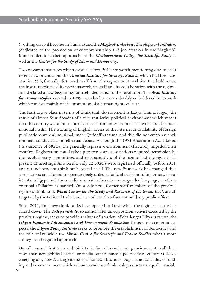(working on civil liberties in Tunisia) and the *Maghreb Enterprise Development Initiative* (dedicated to the promotion of entrepreneurship and job creation in the Maghreb). More academic in their approach are the *Mediterranean College for Scientific Study* as well as the *Center for the Study of Islam and Democracy.*

Two research institutes which existed before 2011 are worth mentioning due to their recent new orientation: the *Tunisian Institute for Strategic Studies*, which had been created in 1993, formally distanced itself from the regime on its website. In a bold move, the institute criticised its previous work, its staff and its collaboration with the regime, and declared a new beginning for itself, dedicated to the revolution. The *Arab Institute for Human Rights*, created in 1989, has also been considerably emboldened in its work which consists mainly of the promotion of a human rights culture.

The least active place in terms of think tank development is **Libya**. This is largely the result of almost four decades of a very restrictive political environment which meant that the country was almost entirely cut off from international academia and the international media. The teaching of English, access to the internet or availability of foreign publications were all minimal under Qaddafi's regime, and this did not create an environment conducive to intellectual debate. Although the 1971 Association Act allowed the existence of NGOs, the generally repressive environment effectively impeded their creation. Registration could take up to two years, associations required permission by the revolutionary committees, and representatives of the regime had the right to be present at meetings. As a result, only 22 NGOs were registered officially before 2011, and no independent think tank existed at all. The new framework has changed this: associations are allowed to operate freely unless a judicial decision ruling otherwise exists. As in Egypt and Tunisia, discrimination based on race, gender, language, or ethnic or tribal affiliation is banned. On a side note, former staff members of the previous regime's think tank *World Center for the Study and Research of the Green Book* are all targeted by the Political Isolation Law and can therefore not hold any public office.

Since 2011, four new think tanks have opened in Libya while the regime's centre has closed down. The *Sadeq Institute*, so named after an opposition activist executed by the previous regime, seeks to provide analyses of a variety of challenges Libya is facing; the *Libyan Economic Advancement and Development Foundation* focuses on economic aspects; the *Libyan Policy Institute* seeks to promote the establishment of democracy and the rule of law while the *Libyan Centre for Strategic and Future Studies* takes a more strategic and regional approach.

Overall, research institutes and think tanks face a less welcoming environment in all three cases than new political parties or media outlets, since a policy-advice culture is slowly emerging only now. A change in the legal framework is not enough – the availability of funding and an environment which welcomes and uses think tank products are equally crucial.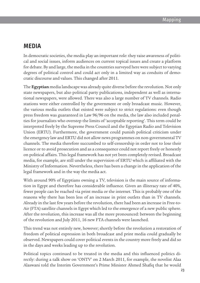## **Media**

In democratic societies, the media play an important role: they raise awareness of political and social issues, inform audiences on current topical issues and create a platform for debate. By and large, the media in the countries surveyed here were subject to varying degrees of political control and could act only in a limited way as conduits of democratic discourse and values. This changed after 2011.

The **Egyptian** media landscape was already quite diverse before the revolution. Not only state newspapers, but also political party publications, independent as well as international newspapers, were allowed. There was also a large number of TV channels. Radio stations were either controlled by the government or only broadcast music. However, the various media outlets that existed were subject to strict regulations: even though press freedom was guaranteed in Law 96/96 on the media, the law also included penalties for journalists who overstep the limits of 'acceptable reporting'. This term could be interpreted freely by the Supreme Press Council and the Egyptian Radio and Television Union (ERTU). Furthermore, the government could punish political criticism under the emergency law and ERTU did not allow news programmes on non-governmental TV channels. The media therefore succumbed to self-censorship in order not to lose their licence or to avoid prosecution and as a consequence could not report freely or honestly on political affairs. This legal framework has not yet been completely revised. Broadcast media, for example, are still under the supervision of ERTU which is affiliated with the Ministry of Information. Nevertheless, there has been a change in the application of the legal framework and in the way the media act.

With around 90% of Egyptians owning a TV, television is the main source of information in Egypt and therefore has considerable influence. Given an illiteracy rate of 40%, fewer people can be reached via print media or the internet. This is probably one of the reasons why there has been less of an increase in print outlets than in TV channels. Already in the last few years before the revolution, there had been an increase in Free-to-Air (FTA) satellite channels in Egypt which led to the emergence of a new public sphere. After the revolution, this increase was all the more pronounced: between the beginning of the revolution and July 2011, 16 new FTA channels were launched.

This trend was not entirely new, however; shortly before the revolution a restoration of freedom of political expression in both broadcast and print media could gradually be observed. Newspapers could cover political events in the country more freely and did so in the days and weeks leading up to the revolution.

Political topics continued to be treated in the media and this influenced politics directly: during a talk show on 'ONTV' on 2 March 2011, for example, the novelist Alaa Alaswani told the Interim Government's Prime Minister Ahmed Shafiq that he would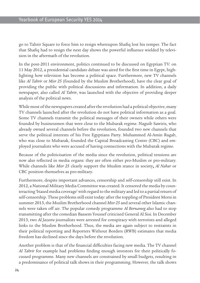go to Tahrir Square to force him to resign whereupon Shafiq lost his temper. The fact that Shafiq had to resign the next day shows the powerful influence wielded by television in the aftermath of the revolution.

In the post-2011 environment, politics continued to be discussed on Egyptian TV: on 11 May 2012, a presidential candidate debate was aired for the first time in Egypt, highlighting how television has become a political space. Furthermore, new TV channels like *Al Tahrir* or *Misr 25* (founded by the Muslim Brotherhood), have the clear goal of providing the public with political discussions and information. In addition, a daily newspaper, also called *Al Tahrir*, was launched with the objective of providing deeper analysis of the political news.

While most of the newspapers created after the revolution had a political objective, many TV channels launched after the revolution do not have political information as a goal. Some TV channels transmit the political messages of their owners while others were founded by businessmen that were close to the Mubarak regime. Naguib Sawiris, who already owned several channels before the revolution, founded two new channels that serve the political interests of his Free Egyptians Party. Muhammed Al-Amin Ragab, who was close to Mubarak, founded the Capital Broadcasting Centre (CBC) and employed journalists who were accused of having connections with the Mubarak regime.

Because of the politicisation of the media since the revolution, political tensions are now also reflected in media organs: they are often either pro-Muslim or pro-military. While channels like *Misr 25* clearly support the Muslim stance in society**,** *Al Nahar* or CBC position themselves as pro-military.

Furthermore, despite important advances, censorship and self-censorship still exist. In 2012, a National Military Media Committee was created. It censored the media by counteracting 'biased media coverage' with regard to the military and led to a partial return of self-censorship. These problems still exist today: after the toppling of President Morsi in summer 2013, the Muslim Brotherhood channel *Misr 25* and several other Islamic channels were taken off air. The popular comedy programme *Al Bernameg* also had to stop transmitting after the comedian Bassem Youssef criticised General Al Sisi. In December 2013, two *Al Jazeera* journalists were arrested for conspiracy with terrorists and alleged links to the Muslim Brotherhood. Thus, the media are again subject to restraints in their political reporting and Reporters Without Borders (RWB) estimates that media freedom has declined since the days before the revolution.

Another problem is that of the financial difficulties facing new media. The TV channel *Al Tahrir* for example had problems finding enough investors for their politically focussed programme. Many new channels are constrained by small budgets, resulting in a predominance of political talk shows in their programming. However, the talk shows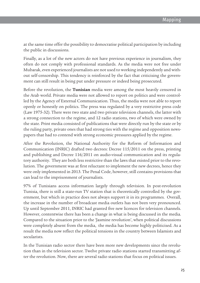at the same time offer the possibility to democratise political participation by including the public in discussions.

Finally, as a lot of the new actors do not have previous experience in journalism, they often do not comply with professional standards. As the media were not free under Mubarak, even experienced journalists are not used to working independently and without self-censorship. This tendency is reinforced by the fact that criticising the government can still result in being put under pressure or indeed being prosecuted.

Before the revolution, the **Tunisian** media were among the most heavily censored in the Arab world. Private media were not allowed to report on politics and were controlled by the Agency of External Communication. Thus, the media were not able to report openly or honestly on politics. The press was regulated by a very restrictive press code (Law 1975-32). There were two state and two private television channels, the latter with a strong connection to the regime, and 12 radio stations, two of which were owned by the state. Print media consisted of publications that were directly run by the state or by the ruling party, private ones that had strong ties with the regime and opposition newspapers that had to contend with strong economic pressures applied by the regime.

After the Revolution, the National Authority for the Reform of Information and Communication (INRIC) drafted two decrees: Decree 115/2011 on the press, printing and publishing and Decree 116/2011 on audio-visual communication and its regulatory authority. They are both less restrictive than the laws that existed prior to the revolution. The government was at first reluctant to implement the new decrees, hence they were only implemented in 2013. The Penal Code, however, still contains provisions that can lead to the imprisonment of journalists.

97% of Tunisians access information largely through television. In post-revolution Tunisia, there is still a state-run TV station that is theoretically controlled by the government, but which in practice does not always support it in its programmes. Overall, the increase in the number of broadcast media outlets has not been very pronounced. Up until September 2011, INRIC had granted five new licences for television channels. However, contentwise there has been a change in what is being discussed in the media. Compared to the situation prior to the 'Jasmine revolution', when political discussions were completely absent from the media, the media has become highly politicised. As a result the media now reflect the political tensions in the country between Islamists and secularists.

In the Tunisian radio sector there have been more new developments since the revolution than in the television sector. Twelve private radio stations started transmitting after the revolution. Now, there are several radio stations that focus on political issues.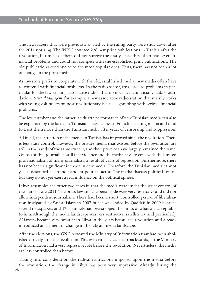The newspapers that were previously owned by the ruling party were shut down after the 2011 uprising. The INRIC counted 228 new print publications in Tunisia after the revolution, but most of them did not survive the first year as they often had severe financial problems and could not compete with the established print publications. The old publications continue to be the most popular ones. Thus, there has not been a lot of change in the print media.

As investors prefer to cooperate with the old, established media, new media often have to contend with financial problems. In the radio sector, this leads to problems in particular for the few existing associative radios that do not have a financially stable foundation. *Sawt al Manejem***,** for example, a new associative radio station that mainly works with young volunteers on post-revolutionary issues, is grappling with serious financial problems.

The low number and the rather lacklustre performance of new Tunisian media can also be explained by the fact that Tunisians have access to French-speaking media and tend to trust them more than the Tunisian media after years of censorship and suppression.

All in all, the situation of the media in Tunisia has improved since the revolution. There is less state control. However, the private media that existed before the revolution are still in the hands of the same owners, and their practices have largely remained the same. On top of this, journalists still face violence and the media have to cope with the limited professionalism of many journalists, a result of years of repression. Furthermore, there has not been a significant increase in new media. Therefore, the Tunisian media cannot yet be described as an independent political actor. The media discuss political topics, but they do not yet exert a real influence on the political sphere.

**Libya** resembles the other two cases in that the media were under the strict control of the state before 2011. The press law and the penal code were very restrictive and did not allow independent journalism. There had been a short, controlled period of liberalisation instigated by Saif al-Islam in 2007 but it was ended by Qaddafi in 2009 because several newspapers and TV channels had overstepped the limits of what was acceptable to him. Although the media landscape was very restrictive, satellite TV and particularly *Al Jazeera* became very popular in Libya in the years before the revolution and already introduced an element of change in the Libyan media landscape.

After the elections, the GNC recreated the Ministry of Information that had been abolished directly after the revolution. This was criticised as a step backwards, as the Ministry of Information had a very repressive role before the revolution. Nevertheless, the media are less controlled than before.

Taking into consideration the radical restrictions imposed upon the media before the revolution, the change in Libya has been very impressive. Already during the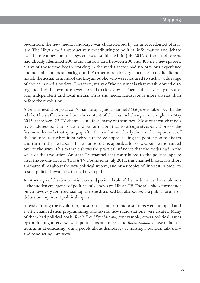revolution, the new media landscape was characterised by an unprecedented pluralism. The Libyan media were actively contributing to political information and debate even before a new political system was established. In July 2012, different observers had already identified 200 radio stations and between 200 and 400 new newspapers. Many of those who began working in the media sector had no previous experience and no stable financial background. Furthermore, the large increase in media did not match the actual demand of the Libyan public who were not used to such a wide range of choice in media outlets. Therefore, many of the new media that mushroomed during and after the revolution were forced to close down. There still is a variety of staterun, independent and local media. Thus the media landscape is more diverse than before the revolution.

After the revolution, Gaddafi's main propaganda channel *Al-Libya* was taken over by the rebels. The staff remained but the content of the channel changed overnight. In May 2013, there were 23 TV channels in Libya, many of them new. Most of those channels try to address political issues and perform a political role. *Libya al-Hurra TV,* one of the first new channels that sprang up after the revolution, clearly showed the importance of this political role when it launched a televised appeal asking the population to disarm and turn in their weapons. In response to this appeal, a lot of weapons were handed over to the army. This example shows the practical influence that the media had in the wake of the revolution. Another TV channel that contributed to the political sphere after the revolution was *Tobacts TV*. Founded in July 2011, this channel broadcasts short animated films about the new political system, and other topics of interest in order to foster political awareness in the Libyan public.

Another sign of the democratisation and political role of the media since the revolution is the sudden emergence of political talk-shows on Libyan TV. The talk-show format not only allows very controversial topics to be discussed but also serves as a public forum for debate on important political topics.

Already during the revolution, most of the state-run radio stations were occupied and swiftly changed their programming, and several new radio stations were created. Many of them had political goals. *Radio Free Libya Misrata,* for example, covers political issues by conducting interviews with politicians and rebels and *Radio Shabab*, a new radio station, aims at educating young people about democracy by hosting a political talk show and conducting interviews.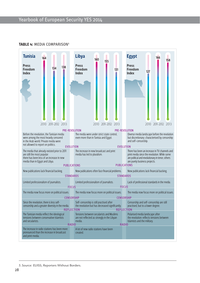

## **TABLE 4: MEDIA COMPARISON<sup>5</sup>**

<sup>5.</sup> Source: EUISS; Reporters Without Borders.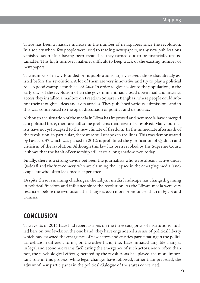There has been a massive increase in the number of newspapers since the revolution. In a society where few people were used to reading newspapers, many new publications vanished soon after having been created as they turned out to be financially unsustainable. This high turnover makes it difficult to keep track of the existing number of newspapers.

The number of newly-founded print publications largely exceeds those that already existed before the revolution. A lot of them are very innovative and try to play a political role. A good example for this is *Al-Sawt*. In order to give a voice to the population, in the early days of the revolution when the governnment had closed down mail and internet access they installed a mailbox on Freedom Square in Benghazi where people could submit their thoughts, ideas and even articles. They published various submissions and in this way contributed to the open discussion of politics and democracy.

Although the situation of the media in Libya has improved and new media have emerged as a political force, there are still some problems that have to be resolved. Many journalists have not yet adapted to the new climate of freedom. In the immediate aftermath of the revolution, in particular, there were still unspoken red lines. This was demonstrated by Law No. 37 which was passed in 2012: it prohibited the glorification of Qaddafi and criticism of the revolution. Although this law has been revoked by the Supreme Court, it shows that the habit of censorship still casts a long shadow even today.

Finally, there is a strong divide between the journalists who were already active under Qaddafi and the 'newcomers' who are claiming their space in the emerging media landscape but who often lack media experience.

Despite these remaining challenges, the Libyan media landscape has changed, gaining in political freedom and influence since the revolution. As the Libyan media were very restricted before the revolution, the change is even more pronounced than in Egypt and Tunisia.

## **Conclusion**

The events of 2011 have had repercussions on the three categories of institutions studied here on two levels: on the one hand, they have engendered a sense of political liberty which has spawned the emergence of new actors and entities participating in the political debate in different forms; on the other hand, they have initiated tangible changes in legal and economic terms facilitating the emergence of such actors. More often than not, the psychological effect generated by the revolutions has played the more important role in this process, while legal changes have followed, rather than preceded, the advent of new participants in the political dialogue of the states concerned.